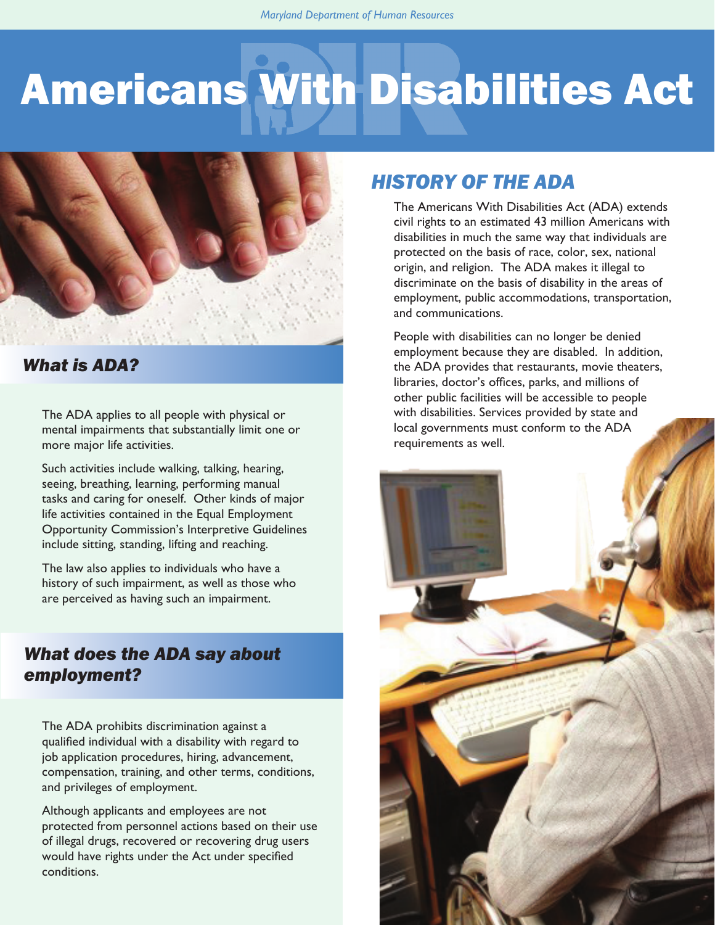# Americans With Disabilities Act



### *What is ADA?*

The ADA applies to all people with physical or mental impairments that substantially limit one or more major life activities.

Such activities include walking, talking, hearing, seeing, breathing, learning, performing manual tasks and caring for oneself. Other kinds of major life activities contained in the Equal Employment Opportunity Commission's Interpretive Guidelines include sitting, standing, lifting and reaching.

The law also applies to individuals who have a history of such impairment, as well as those who are perceived as having such an impairment.

### *What does the ADA say about employment?*

The ADA prohibits discrimination against a qualified individual with a disability with regard to job application procedures, hiring, advancement, compensation, training, and other terms, conditions, and privileges of employment.

Although applicants and employees are not protected from personnel actions based on their use of illegal drugs, recovered or recovering drug users would have rights under the Act under specified conditions.

### *HISTORY OF THE ADA*

The Americans With Disabilities Act (ADA) extends civil rights to an estimated 43 million Americans with disabilities in much the same way that individuals are protected on the basis of race, color, sex, national origin, and religion. The ADA makes it illegal to discriminate on the basis of disability in the areas of employment, public accommodations, transportation, and communications.

People with disabilities can no longer be denied employment because they are disabled. In addition, the ADA provides that restaurants, movie theaters, libraries, doctor's offices, parks, and millions of other public facilities will be accessible to people with disabilities. Services provided by state and local governments must conform to the ADA requirements as well.